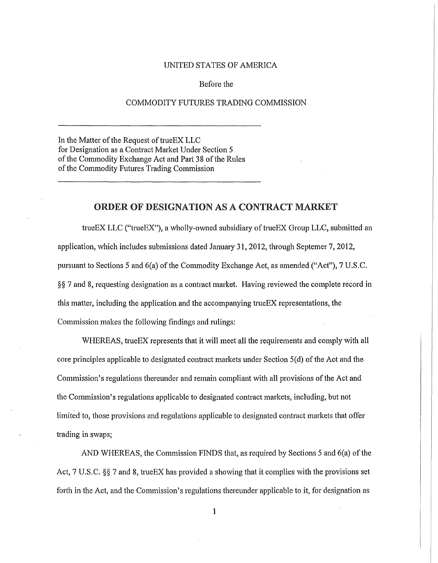## UNITED STATES OF AMERICA

## Before the

## COMMODITY FUTURES TRADING COMMISSION

In the Matter of the Request of trueEX LLC for Designation as a Contract Market Under Section 5 of the Commodity Exchange Act and Part 38 of the Rules of the Commodity Futures Trading Commission

## ORDER OF DESIGNATION AS A CONTRACT MARKET

true EX LLC ("true EX"), a wholly-owned subsidiary of true EX Group LLC, submitted an application, which includes submissions dated January 31, 2012, through Septemer 7, 2012, pursuant to Sections 5 and 6(a) of the Commodity Exchange Act, as amended ("Act"), 7 U.S.C. §§ 7 and 8, requesting designation as a contract market. Having reviewed the complete record in this matter, including the application and the accompanying trueEX representations, the Commission makes the following findings and rulings:

WHEREAS, trueEX represents that it will meet all the requirements and comply with all core principles applicable to designated contract markets under Section 5( d) of the Act and the Commission's regulations thereunder and remain compliant with all provisions of the Act and the Commission's regulations applicable to designated contract markets, including, but not limited to, those provisions and regulations applicable to designated contract markets that offer trading in swaps;

AND WHEREAS, the Commission FINDS that, as required by Sections 5 and 6(a) of the Act, 7 U.S.C. §§ 7 and 8, trueEX has provided a showing that it complies with the provisions set forth in the Act, and the Commission's regulations thereunder applicable to it, for designation as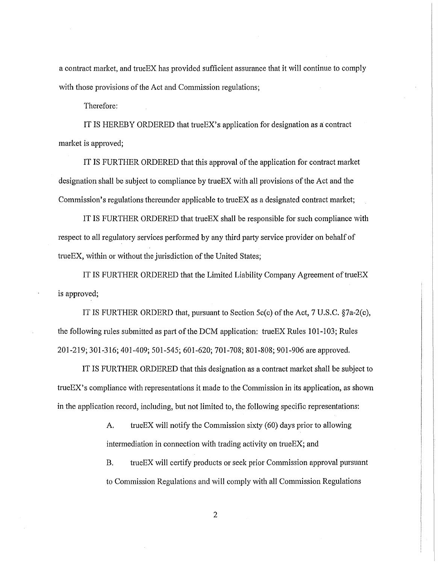a contract market, and trueEX has provided sufficient assurance that it will continue to comply with those provisions of the Act and Commission regulations;

Therefore:

IT IS HEREBY ORDERED that trueEX's application for designation as a: contract market is approved;

IT IS FURTHER ORDERED that this approval of the application for contract market designation shall be subject to compliance by trueEX with all provisions of the Act and the Commission's regulations thereunder applicable to trueEX as a designated contract market;

IT IS FURTHER ORDERED that trueEX shall be responsible for such compliance with respect to all regulatory services performed by any third party service provider on behalf of true EX, within or without the jurisdiction of the United States;

IT IS FURTHER ORDERED that the Limited Liability Company Agreement oftrueEX is approved;

IT IS FURTHER ORDERD that, pursuant to Section  $5c(c)$  of the Act, 7 U.S.C.  $$7a-2(c)$ , the following rules submitted as part of the DCM application: true EX Rules  $101$ - $103$ ; Rules 201-219; 301-316; 401-409; 501-545; 601-620; 701-708; 801-808; 901-906 are approved.

IT IS FURTHER ORDERED that this designation as a contract market shall be subject to trueEX' s compliance with representations it made to the Commission in its application, as shown in the application record, including, but not limited to, the following specific representations:

> A. trueEX will notify the Commission sixty (60) days prior to allowing intermediation in connection with trading activity on trueEX; and

B. true EX will certify products or seek prior Commission approval pursuant to Commission Regulations and will comply with all Commission Regulations

2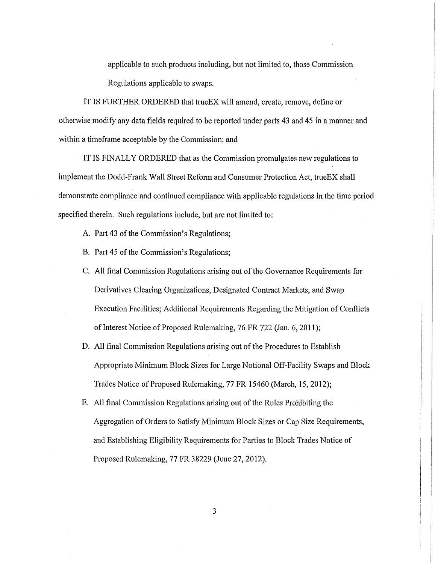applicable to such products including, but not limited to, those Commission Regulations applicable to swaps.

IT IS FURTHER ORDERED that trueEX will amend, create, remove, define or otherwise modify any data fields required to be reported under parts 43 and 45 in a manner and within a timeframe acceptable by the Commission; and

IT IS FINALLY ORDERED that as the Commission promulgates new regulations to implement the Dodd-Frank Wall Street Reform and Consumer Protection Act, trueEX shall demonstrate compliance and continued compliance with applicable regulations in the time period specified therein. Such regulations include, but are not limited to:

A. Part 43 of the Commission's Regulations;

- B. Part 45 of the Commission's Regulations;
- C. All final Commission Regulations arising out of the Governance Requirements for Derivatives Clearing Organizations, Designated Contract Markets, and Swap Execution Facilities; Additional Requirements Regarding the Mitigation of Conflicts of Interest Notice of Proposed Rulemaking, 76 FR 722 (Jan. 6, 2011 );
- D. All final Commission Regulations arising out of the Procedures to Establish Appropriate Minimum Block Sizes for Large Notional Off-Facility Swaps and Block Trades Notice of Proposed Rulemaking, 77 FR 15460 (March, 15, 2012);
- E. All final Commission Regulations arising out of the Rules Prohibiting the Aggregation of Orders to Satisfy Minimum Block Sizes or Cap Size Requirements, and Establishing Eligibility Requirements for Parties to Block Trades Notice of Proposed Rulemaking, 77 FR 38229 (June 27, 2012).

3